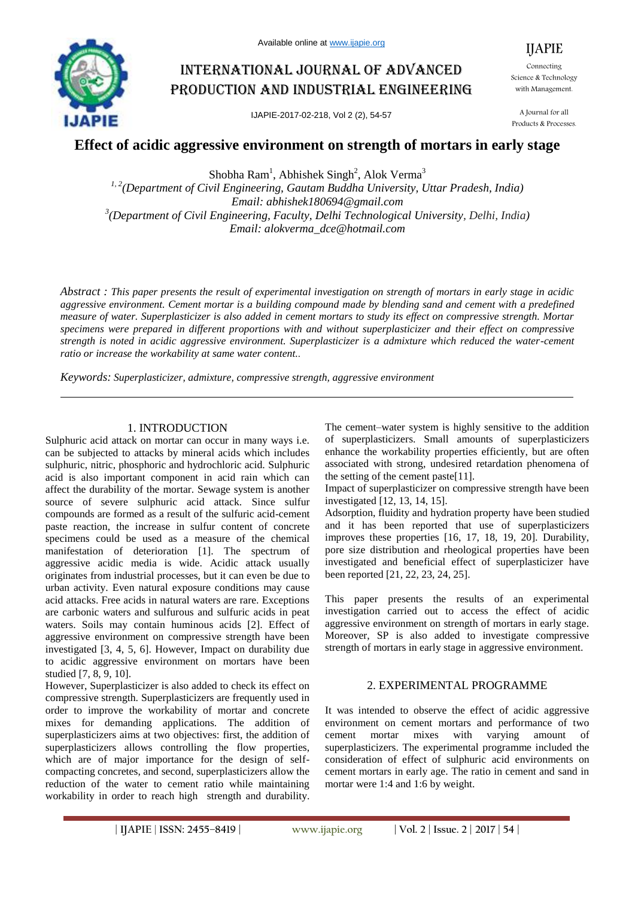

# International journal of advanced production and industrial engineering

IJAPIE-2017-02-218, Vol 2 (2), 54-57

Connecting Science & Technology with Management.

IJAPIE

A Journal for all Products & Processes.

# **Effect of acidic aggressive environment on strength of mortars in early stage**

Shobha  $Ram<sup>1</sup>$ , Abhishek Singh<sup>2</sup>, Alok Verma<sup>3</sup>

*1, 2(Department of Civil Engineering, Gautam Buddha University, Uttar Pradesh, India) Email: abhishek180694@gmail.com 3 (Department of Civil Engineering, Faculty, Delhi Technological University, Delhi, India) Email: alokverma\_dce@hotmail.com*

*Abstract : This paper presents the result of experimental investigation on strength of mortars in early stage in acidic aggressive environment. Cement mortar is a building compound made by blending sand and cement with a predefined measure of water. Superplasticizer is also added in cement mortars to study its effect on compressive strength. Mortar specimens were prepared in different proportions with and without superplasticizer and their effect on compressive strength is noted in acidic aggressive environment. Superplasticizer is a admixture which reduced the water-cement ratio or increase the workability at same water content..*

*Keywords: Superplasticizer, admixture, compressive strength, aggressive environment*

#### 1. INTRODUCTION

Sulphuric acid attack on mortar can occur in many ways i.e. can be subjected to attacks by mineral acids which includes sulphuric, nitric, phosphoric and hydrochloric acid. Sulphuric acid is also important component in acid rain which can affect the durability of the mortar. Sewage system is another source of severe sulphuric acid attack. Since sulfur compounds are formed as a result of the sulfuric acid-cement paste reaction, the increase in sulfur content of concrete specimens could be used as a measure of the chemical manifestation of deterioration [1]. The spectrum of aggressive acidic media is wide. Acidic attack usually originates from industrial processes, but it can even be due to urban activity. Even natural exposure conditions may cause acid attacks. Free acids in natural waters are rare. Exceptions are carbonic waters and sulfurous and sulfuric acids in peat waters. Soils may contain huminous acids [2]. Effect of aggressive environment on compressive strength have been investigated [3, 4, 5, 6]. However, Impact on durability due to acidic aggressive environment on mortars have been studied [7, 8, 9, 10].

However, Superplasticizer is also added to check its effect on compressive strength. Superplasticizers are frequently used in order to improve the workability of mortar and concrete mixes for demanding applications. The addition of superplasticizers aims at two objectives: first, the addition of superplasticizers allows controlling the flow properties, which are of major importance for the design of selfcompacting concretes, and second, superplasticizers allow the reduction of the water to cement ratio while maintaining workability in order to reach high strength and durability.

The cement–water system is highly sensitive to the addition of superplasticizers. Small amounts of superplasticizers enhance the workability properties efficiently, but are often associated with strong, undesired retardation phenomena of the setting of the cement paste[11].

Impact of superplasticizer on compressive strength have been investigated [12, 13, 14, 15].

Adsorption, fluidity and hydration property have been studied and it has been reported that use of superplasticizers improves these properties [16, 17, 18, 19, 20]. Durability, pore size distribution and rheological properties have been investigated and beneficial effect of superplasticizer have been reported [21, 22, 23, 24, 25].

This paper presents the results of an experimental investigation carried out to access the effect of acidic aggressive environment on strength of mortars in early stage. Moreover, SP is also added to investigate compressive strength of mortars in early stage in aggressive environment.

## 2. EXPERIMENTAL PROGRAMME

It was intended to observe the effect of acidic aggressive environment on cement mortars and performance of two cement mortar mixes with varying amount of superplasticizers. The experimental programme included the consideration of effect of sulphuric acid environments on cement mortars in early age. The ratio in cement and sand in mortar were 1:4 and 1:6 by weight.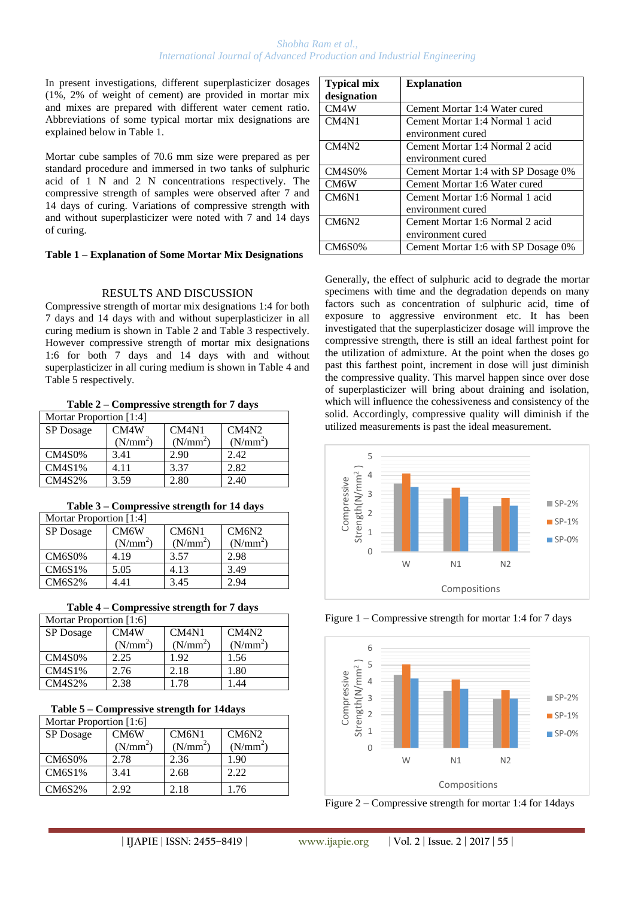#### *Shobha Ram et al., International Journal of Advanced Production and Industrial Engineering*

In present investigations, different superplasticizer dosages (1%, 2% of weight of cement) are provided in mortar mix and mixes are prepared with different water cement ratio. Abbreviations of some typical mortar mix designations are explained below in Table 1.

Mortar cube samples of 70.6 mm size were prepared as per standard procedure and immersed in two tanks of sulphuric acid of 1 N and 2 N concentrations respectively. The compressive strength of samples were observed after 7 and 14 days of curing. Variations of compressive strength with and without superplasticizer were noted with 7 and 14 days of curing.

#### **Table 1 – Explanation of Some Mortar Mix Designations**

## RESULTS AND DISCUSSION

Compressive strength of mortar mix designations 1:4 for both 7 days and 14 days with and without superplasticizer in all curing medium is shown in Table 2 and Table 3 respectively. However compressive strength of mortar mix designations 1:6 for both 7 days and 14 days with and without superplasticizer in all curing medium is shown in Table 4 and Table 5 respectively.

**Table 2 – Compressive strength for 7 days**

| Mortar Proportion [1:4] |                      |                                |            |
|-------------------------|----------------------|--------------------------------|------------|
| SP Dosage               | CM4W                 | CM <sub>4</sub> N <sub>1</sub> | CM4N2      |
|                         | (N/mm <sup>2</sup> ) | (N/mm <sup>2</sup> )           | $(N/mm^2)$ |
| <b>CM4S0%</b>           | 3.41                 | 2.90                           | 2.42       |
| CM4S1%                  | 4.11                 | 3.37                           | 2.82       |
| <b>CM4S2%</b>           | 3.59                 | 2.80                           | 2.40       |

| Table 3 – Compressive strength for 14 days |  |
|--------------------------------------------|--|
|                                            |  |

| Mortar Proportion [1:4] |                      |                      |                      |
|-------------------------|----------------------|----------------------|----------------------|
| SP Dosage               | CM <sub>6</sub> W    | CM6N1                | CM6N2                |
|                         | (N/mm <sup>2</sup> ) | (N/mm <sup>2</sup> ) | (N/mm <sup>2</sup> ) |
| <b>CM6S0%</b>           | 4.19                 | 3.57                 | 2.98                 |
| CM6S1%                  | 5.05                 | 4.13                 | 3.49                 |
| <b>CM6S2%</b>           | 1.41                 | 3.45                 | 2.94                 |

| Mortar Proportion [1:6] |                      |                      |            |
|-------------------------|----------------------|----------------------|------------|
| SP Dosage               | CM4W                 | CM4N1                | CM4N2      |
|                         | (N/mm <sup>2</sup> ) | (N/mm <sup>2</sup> ) | $(N/mm^2)$ |
| <b>CM4S0%</b>           | 2.25                 | 1.92                 | 1.56       |
| CM4S1%                  | 2.76                 | 2.18                 | 1.80       |
| <b>CM4S2%</b>           | 2.38                 | 1.78                 | 1.44       |

| Table 5 – Compressive strength for 14 days |  |
|--------------------------------------------|--|
| Mortar Proportion [1:6]                    |  |

| Mortar Proportion [1:6] |                      |                                |                      |
|-------------------------|----------------------|--------------------------------|----------------------|
| SP Dosage               | CM6W                 | CM <sub>6</sub> N <sub>1</sub> | CM6N2                |
|                         | (N/mm <sup>2</sup> ) | (N/mm <sup>2</sup> )           | (N/mm <sup>2</sup> ) |
| <b>CM6S0%</b>           | 2.78                 | 2.36                           | 1.90                 |
| CM6S1%                  | 3.41                 | 2.68                           | 2.22                 |
| <b>CM6S2%</b>           | 2.92                 | 2.18                           | 1.76                 |

| <b>Typical mix</b> | <b>Explanation</b>                  |
|--------------------|-------------------------------------|
| designation        |                                     |
| CM4W               | Cement Mortar 1:4 Water cured       |
| CM4N1              | Cement Mortar 1:4 Normal 1 acid     |
|                    | environment cured                   |
| CM4N2              | Cement Mortar 1:4 Normal 2 acid     |
|                    | environment cured                   |
| <b>CM4S0%</b>      | Cement Mortar 1:4 with SP Dosage 0% |
| CM <sub>6</sub> W  | Cement Mortar 1:6 Water cured       |
| CM6N1              | Cement Mortar 1:6 Normal 1 acid     |
|                    | environment cured                   |
| CM6N2              | Cement Mortar 1:6 Normal 2 acid     |
|                    | environment cured                   |
| <b>CM6S0%</b>      | Cement Mortar 1:6 with SP Dosage 0% |

Generally, the effect of sulphuric acid to degrade the mortar specimens with time and the degradation depends on many factors such as concentration of sulphuric acid, time of exposure to aggressive environment etc. It has been investigated that the superplasticizer dosage will improve the compressive strength, there is still an ideal farthest point for the utilization of admixture. At the point when the doses go past this farthest point, increment in dose will just diminish the compressive quality. This marvel happen since over dose of superplasticizer will bring about draining and isolation, which will influence the cohessiveness and consistency of the solid. Accordingly, compressive quality will diminish if the utilized measurements is past the ideal measurement.



Figure 1 – Compressive strength for mortar 1:4 for 7 days



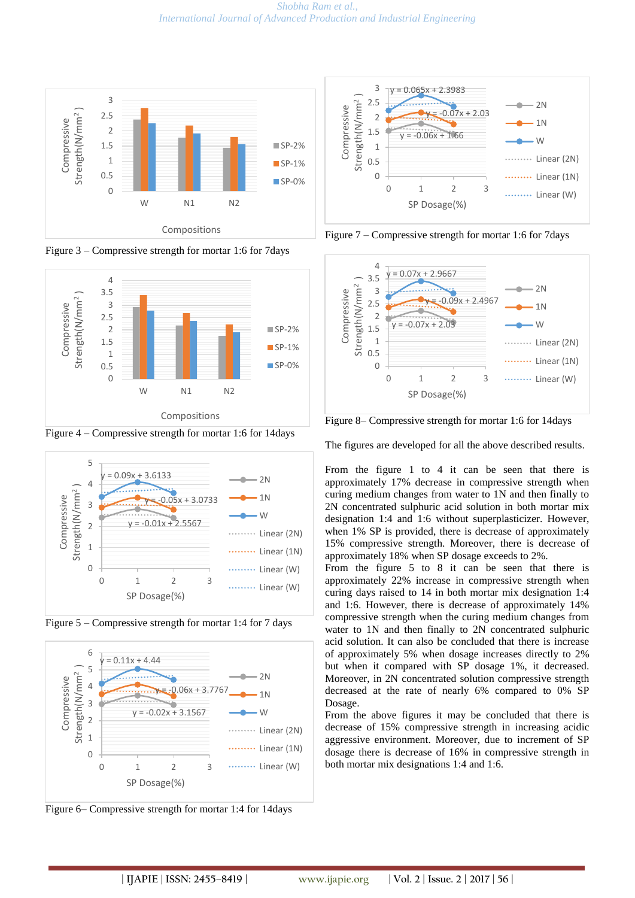

Figure 3 – Compressive strength for mortar 1:6 for 7days



Figure 4 – Compressive strength for mortar 1:6 for 14days







Figure 6– Compressive strength for mortar 1:4 for 14days



Figure 7 – Compressive strength for mortar 1:6 for 7days



Figure 8– Compressive strength for mortar 1:6 for 14days

The figures are developed for all the above described results.

From the figure 1 to 4 it can be seen that there is approximately 17% decrease in compressive strength when curing medium changes from water to 1N and then finally to 2N concentrated sulphuric acid solution in both mortar mix designation 1:4 and 1:6 without superplasticizer. However, when 1% SP is provided, there is decrease of approximately 15% compressive strength. Moreover, there is decrease of approximately 18% when SP dosage exceeds to 2%.

From the figure 5 to 8 it can be seen that there is approximately 22% increase in compressive strength when curing days raised to 14 in both mortar mix designation 1:4 and 1:6. However, there is decrease of approximately 14% compressive strength when the curing medium changes from water to 1N and then finally to 2N concentrated sulphuric acid solution. It can also be concluded that there is increase of approximately 5% when dosage increases directly to 2% but when it compared with SP dosage 1%, it decreased. Moreover, in 2N concentrated solution compressive strength decreased at the rate of nearly 6% compared to 0% SP Dosage.

From the above figures it may be concluded that there is decrease of 15% compressive strength in increasing acidic aggressive environment. Moreover, due to increment of SP dosage there is decrease of 16% in compressive strength in both mortar mix designations 1:4 and 1:6.